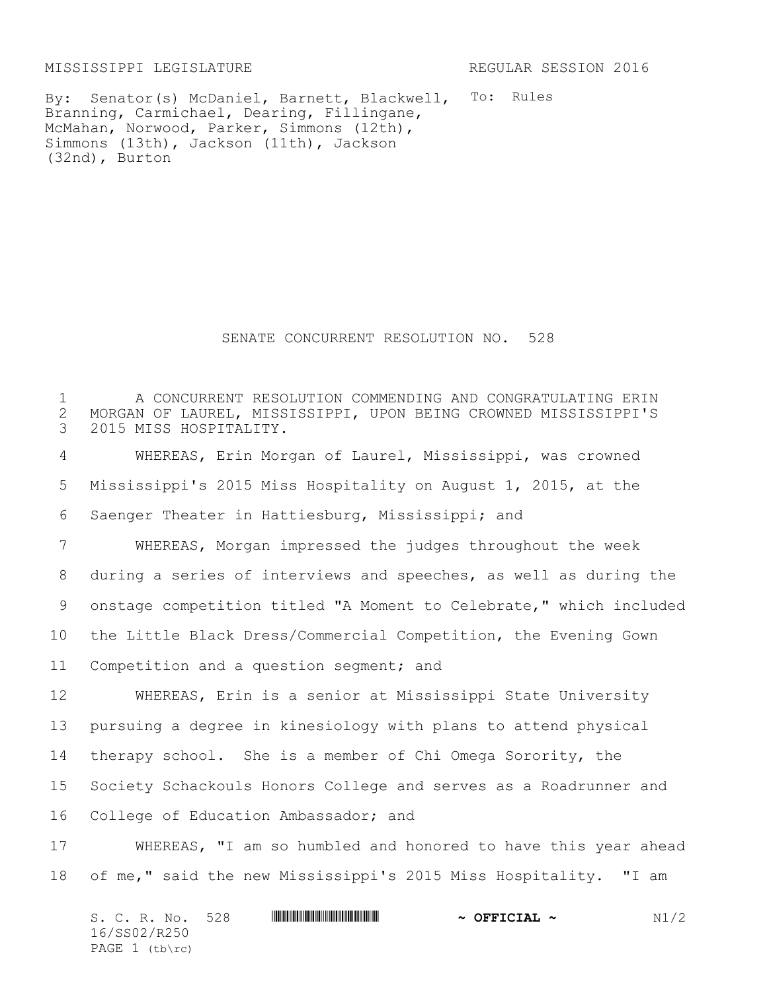MISSISSIPPI LEGISLATURE REGULAR SESSION 2016

By: Senator(s) McDaniel, Barnett, Blackwell, To: Rules Branning, Carmichael, Dearing, Fillingane, McMahan, Norwood, Parker, Simmons (12th), Simmons (13th), Jackson (11th), Jackson (32nd), Burton

SENATE CONCURRENT RESOLUTION NO. 528

1 The CONCURRENT RESOLUTION COMMENDING AND CONGRATULATING ERIN<br>2 MORGAN OF LAUREL, MISSISSIPPI, UPON BEING CROWNED MISSISSIPPI'S 2 MORGAN OF LAUREL, MISSISSIPPI, UPON BEING CROWNED MISSISSIPPI'S<br>3 2015 MISS HOSPITALITY. 2015 MISS HOSPITALITY. WHEREAS, Erin Morgan of Laurel, Mississippi, was crowned Mississippi's 2015 Miss Hospitality on August 1, 2015, at the Saenger Theater in Hattiesburg, Mississippi; and WHEREAS, Morgan impressed the judges throughout the week during a series of interviews and speeches, as well as during the onstage competition titled "A Moment to Celebrate," which included the Little Black Dress/Commercial Competition, the Evening Gown Competition and a question segment; and WHEREAS, Erin is a senior at Mississippi State University pursuing a degree in kinesiology with plans to attend physical therapy school. She is a member of Chi Omega Sorority, the Society Schackouls Honors College and serves as a Roadrunner and College of Education Ambassador; and WHEREAS, "I am so humbled and honored to have this year ahead of me," said the new Mississippi's 2015 Miss Hospitality. "I am

S. C. R. No. 528 \*SS02/R250\* **~ OFFICIAL ~** N1/2 16/SS02/R250 PAGE (tb\rc)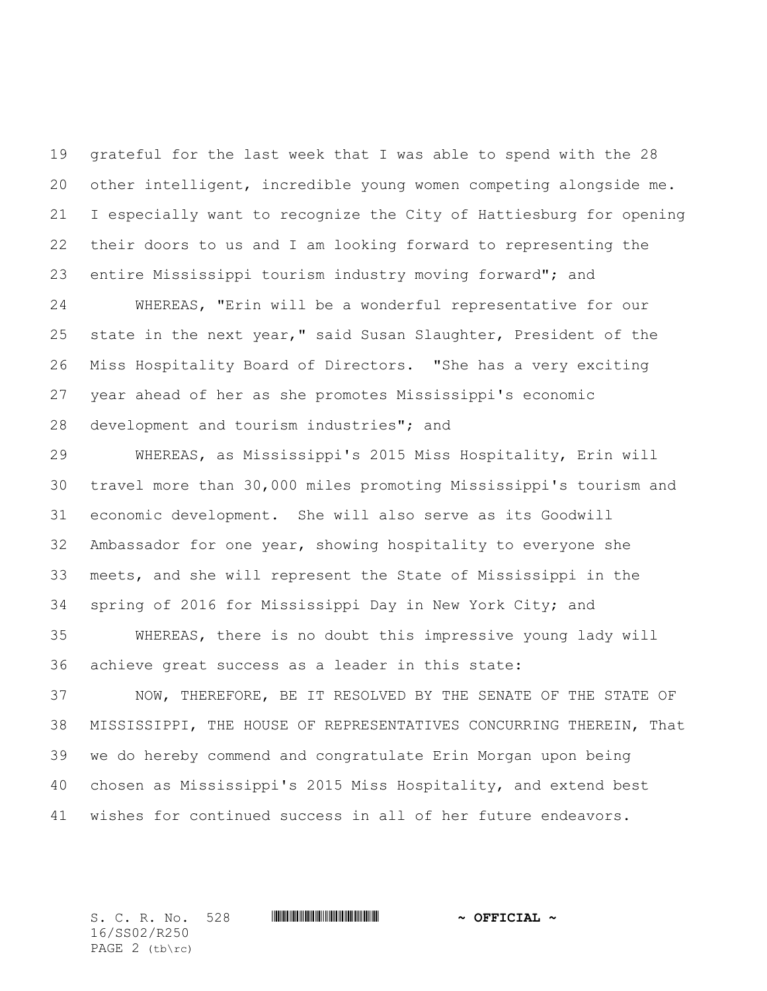grateful for the last week that I was able to spend with the 28 other intelligent, incredible young women competing alongside me. I especially want to recognize the City of Hattiesburg for opening their doors to us and I am looking forward to representing the entire Mississippi tourism industry moving forward"; and

 WHEREAS, "Erin will be a wonderful representative for our state in the next year," said Susan Slaughter, President of the Miss Hospitality Board of Directors. "She has a very exciting year ahead of her as she promotes Mississippi's economic development and tourism industries"; and

 WHEREAS, as Mississippi's 2015 Miss Hospitality, Erin will travel more than 30,000 miles promoting Mississippi's tourism and economic development. She will also serve as its Goodwill Ambassador for one year, showing hospitality to everyone she meets, and she will represent the State of Mississippi in the spring of 2016 for Mississippi Day in New York City; and

 WHEREAS, there is no doubt this impressive young lady will achieve great success as a leader in this state:

 NOW, THEREFORE, BE IT RESOLVED BY THE SENATE OF THE STATE OF MISSISSIPPI, THE HOUSE OF REPRESENTATIVES CONCURRING THEREIN, That we do hereby commend and congratulate Erin Morgan upon being chosen as Mississippi's 2015 Miss Hospitality, and extend best wishes for continued success in all of her future endeavors.

S. C. R. No. 528 **\*\*\* WILLE AND \*\*\*\* \*\*\* ~\*\*** OFFICIAL ~\* 16/SS02/R250 PAGE 2 (tb\rc)